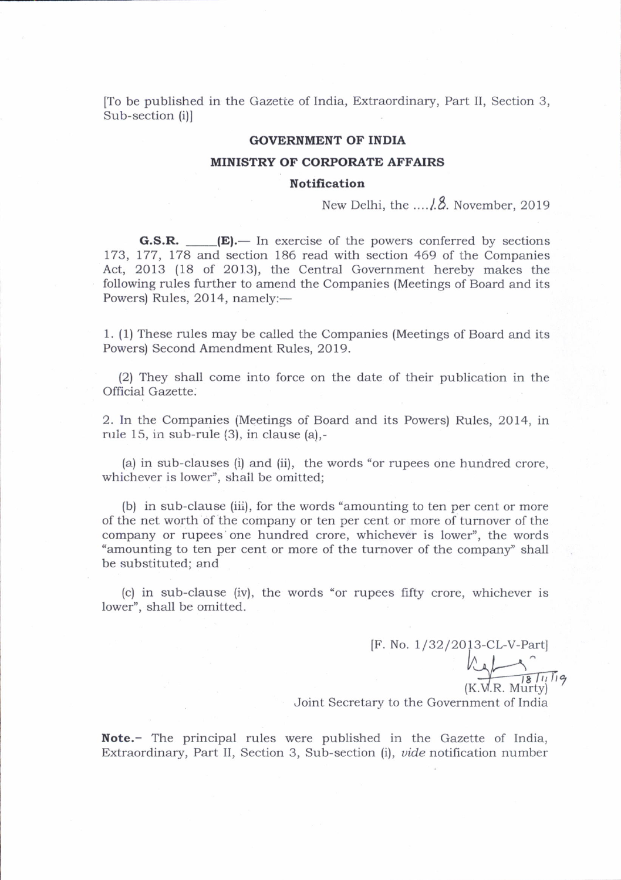[To be published in the Gazette of India, Extraordinary, Part II, Section 3, Sub-section (i)l

#### GOVERNMENT OF INDIA

#### MINISTRY OF CORPORATE AFFAIRS

### **Notification**

New Delhi, ttre ....1.8. November,2019

**G.S.R.**  $\qquad \qquad \textbf{(E)}$  In exercise of the powers conferred by sections 173, 177, 178 and section 186 read with section 469 of the Companies Act, 2013 (18 of 2013), the Central Government hereby makes the following rules further to amend the Companies (Meetings of Board and its Powers) Rules, 2014, namely:-

1. (1) These rules may be called the Companies (Meetings of Board and its Powers) Second Amendment Rules, 2019.

(2) They shall come into force on the date of their publication in the Official Gazette:

2. In the Companies (Meetines of Board and its Powers) Rules, 2014, in rule 15, in sub-rule (3), in clause (a),-

(a) in sub-clauses (i) and (ii). the words "or rupees one hundred crore, whichever is lower", shall be omitted;

(b) in sub-clause (iii), for the words "amounting to ten per cent or more of the net worth of the company or ten per cent or more of turnover of the company or rupees one hundred crore, whichever is lower", the words "amounting to ten per cent or more of the turnover of the company'' shall be substituted; and

(c) in sub-clause (iv), the words "or rupees fifty crore, whichever is lower", shall be omitted.

> [F. No. 1/32/2013-CL-V-Part]  $k$  $181119$

 $(K.W.R. Murty)$ Joint Secretary to the Government of India

Note.- The principal rules were published in the Gazette of India, Extraordinary, Part II, Section 3, Sub-section (i), *vide* notification number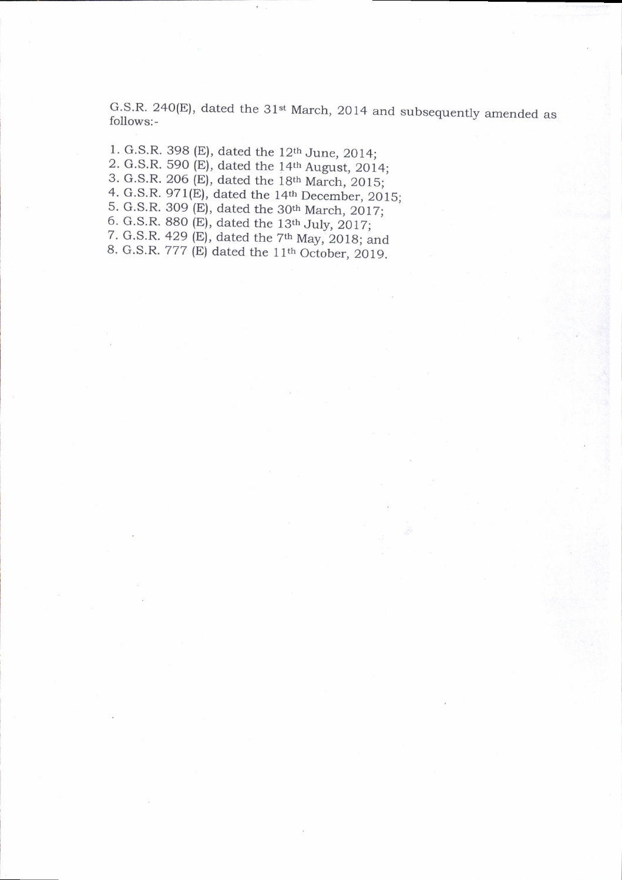G.S.R. 240(E), dated the  $31<sup>st</sup>$  March, 2014 and subsequently amended as follows:-

1. c.S.R. 398 (E), dated the 12th June. 2014: 2. G.S.R. 590 (E), dated the 14th August, 2014; 3. G.S.R. 206 (E), dated the 18th March, 2015; 4. G.S.R. 971 $(E)$ , dated the 14<sup>th</sup> December, 2015; 5. G.S.R. 309 (E), dated the 30<sup>th</sup> March, 2017; 6. G.S.R. 880 (E), dated the  $13<sup>th</sup>$  July, 2017; 7. G.S.R. 429 (E), dated the  $7<sup>th</sup>$  May, 2018; and 8. G.S.R. 777 (E) dated the  $11<sup>th</sup>$  October, 2019.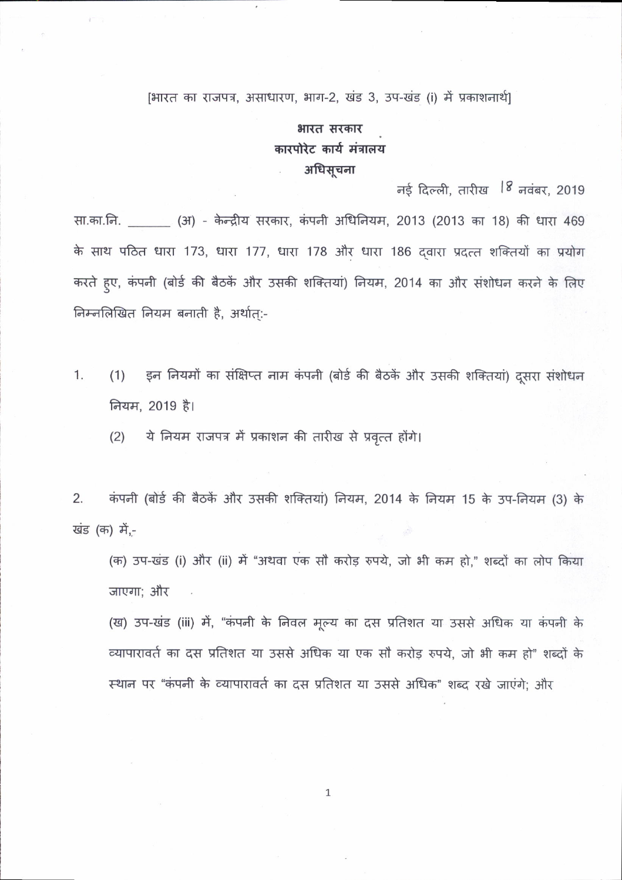## [भारत का राजपत्र, असाधारण, भाग-2, खंड 3, उप-खंड (i) में प्रकाशनार्थ]

# भारत सरकार कारपोरेट कार्य मंत्रालय अधिसूचना

नई दिल्ली, तारीख <sup>18</sup> नवंबर, 2019

सा.का.नि. (31) - केन्द्रीय सरकार, कंपनी अधिनियम, 2013 (2013 का 18) की धारा 469 के साथ पठित धारा 173, धारा 177, धारा 178 और धारा 186 दवारा प्रदत्त शक्तियों का प्रयोग करते हुए, कंपनी (बोर्ड की बैठकें और उसकी शक्तियां) नियम, 2014 का और संशोधन करने के लिए निम्नलिखित नियम बनाती है, अर्थात:-

इन नियमों का संक्षिप्त नाम कंपनी (बोर्ड की बैठकें और उसकी शक्तियां) दूसरा संशोधन  $1.$  $(1)$ नियम, 2019 है।

ये नियम राजपत्र में प्रकाशन की तारीख से प्रवृत्त होंगे।  $(2)$ 

कंपनी (बोर्ड की बैठकें और उसकी शक्तियां) नियम, 2014 के नियम 15 के उप-नियम (3) के 2. खंड (क) में,-

(क) उप-खंड (i) और (ii) में "अथवा एक सौ करोड़ रुपये, जो भी कम हो," शब्दों का लोप किया जाएगा; और

(ख) उप-खंड (iii) में, "कंपनी के निवल मूल्य का दस प्रतिशत या उससे अधिक या कंपनी के व्यापारावर्त का दस प्रतिशत या उससे अधिक या एक सौ करोड़ रुपये, जो भी कम हो" शब्दों के स्थान पर "कंपनी के व्यापारावर्त का दस प्रतिशत या उससे अधिक" शब्द रखे जाएंगे; और

 $\mathbf{1}$